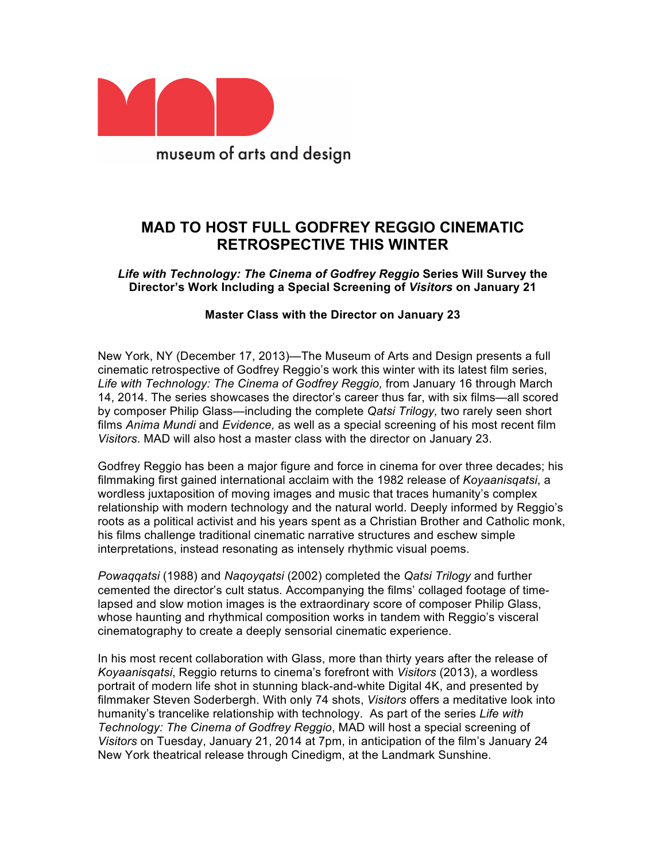

# **MAD TO HOST FULL GODFREY REGGIO CINEMATIC RETROSPECTIVE THIS WINTER**

# *Life with Technology: The Cinema of Godfrey Reggio* **Series Will Survey the Director's Work Including a Special Screening of** *Visitors* **on January 21**

# **Master Class with the Director on January 23**

New York, NY (December 17, 2013)—The Museum of Arts and Design presents a full cinematic retrospective of Godfrey Reggio's work this winter with its latest film series, *Life with Technology: The Cinema of Godfrey Reggio,* from January 16 through March 14, 2014. The series showcases the director's career thus far, with six films—all scored by composer Philip Glass—including the complete *Qatsi Trilogy,* two rarely seen short films *Anima Mundi* and *Evidence,* as well as a special screening of his most recent film *Visitors*. MAD will also host a master class with the director on January 23.

Godfrey Reggio has been a major figure and force in cinema for over three decades; his filmmaking first gained international acclaim with the 1982 release of *Koyaanisqatsi*, a wordless juxtaposition of moving images and music that traces humanity's complex relationship with modern technology and the natural world. Deeply informed by Reggio's roots as a political activist and his years spent as a Christian Brother and Catholic monk, his films challenge traditional cinematic narrative structures and eschew simple interpretations, instead resonating as intensely rhythmic visual poems.

*Powaqqatsi* (1988) and *Naqoyqatsi* (2002) completed the *Qatsi Trilogy* and further cemented the director's cult status*.* Accompanying the films' collaged footage of timelapsed and slow motion images is the extraordinary score of composer Philip Glass, whose haunting and rhythmical composition works in tandem with Reggio's visceral cinematography to create a deeply sensorial cinematic experience.

In his most recent collaboration with Glass, more than thirty years after the release of *Koyaanisqatsi*, Reggio returns to cinema's forefront with *Visitors* (2013), a wordless portrait of modern life shot in stunning black-and-white Digital 4K, and presented by filmmaker Steven Soderbergh. With only 74 shots, *Visitors* offers a meditative look into humanity's trancelike relationship with technology. As part of the series *Life with Technology: The Cinema of Godfrey Reggio*, MAD will host a special screening of *Visitors* on Tuesday, January 21, 2014 at 7pm, in anticipation of the film's January 24 New York theatrical release through Cinedigm, at the Landmark Sunshine.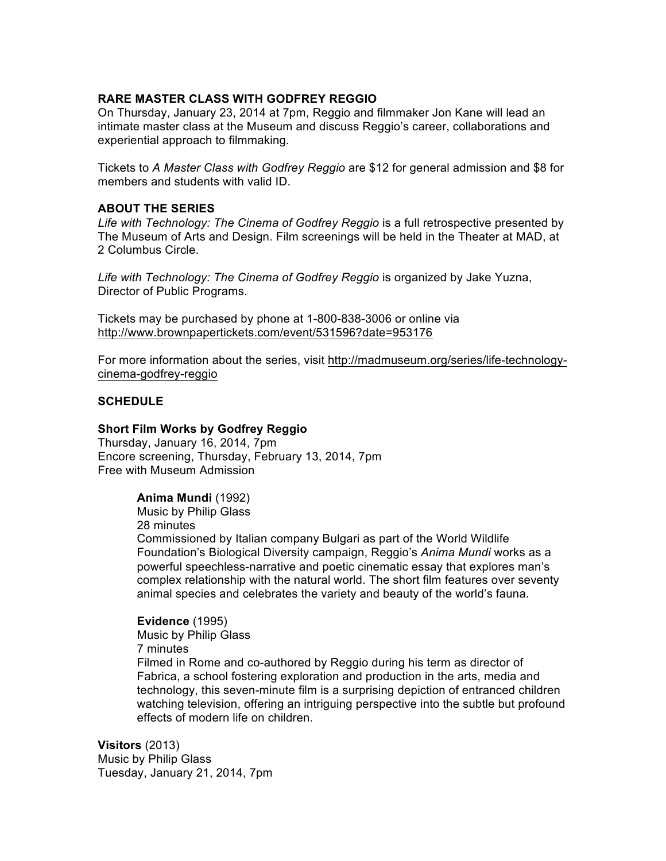## **RARE MASTER CLASS WITH GODFREY REGGIO**

On Thursday, January 23, 2014 at 7pm, Reggio and filmmaker Jon Kane will lead an intimate master class at the Museum and discuss Reggio's career, collaborations and experiential approach to filmmaking.

Tickets to *A Master Class with Godfrey Reggio* are \$12 for general admission and \$8 for members and students with valid ID.

## **ABOUT THE SERIES**

Life with Technology: The Cinema of Godfrey Reggio is a full retrospective presented by The Museum of Arts and Design. Film screenings will be held in the Theater at MAD, at 2 Columbus Circle.

*Life with Technology: The Cinema of Godfrey Reggio* is organized by Jake Yuzna, Director of Public Programs.

Tickets may be purchased by phone at 1-800-838-3006 or online via http://www.brownpapertickets.com/event/531596?date=953176

For more information about the series, visit http://madmuseum.org/series/life-technologycinema-godfrey-reggio

## **SCHEDULE**

## **Short Film Works by Godfrey Reggio**

Thursday, January 16, 2014, 7pm Encore screening, Thursday, February 13, 2014, 7pm Free with Museum Admission

## **Anima Mundi** (1992)

Music by Philip Glass 28 minutes Commissioned by Italian company Bulgari as part of the World Wildlife Foundation's Biological Diversity campaign, Reggio's *Anima Mundi* works as a powerful speechless-narrative and poetic cinematic essay that explores man's complex relationship with the natural world. The short film features over seventy animal species and celebrates the variety and beauty of the world's fauna.

#### **Evidence** (1995)

Music by Philip Glass 7 minutes Filmed in Rome and co-authored by Reggio during his term as director of Fabrica, a school fostering exploration and production in the arts, media and technology, this seven-minute film is a surprising depiction of entranced children watching television, offering an intriguing perspective into the subtle but profound effects of modern life on children.

**Visitors** (2013) Music by Philip Glass Tuesday, January 21, 2014, 7pm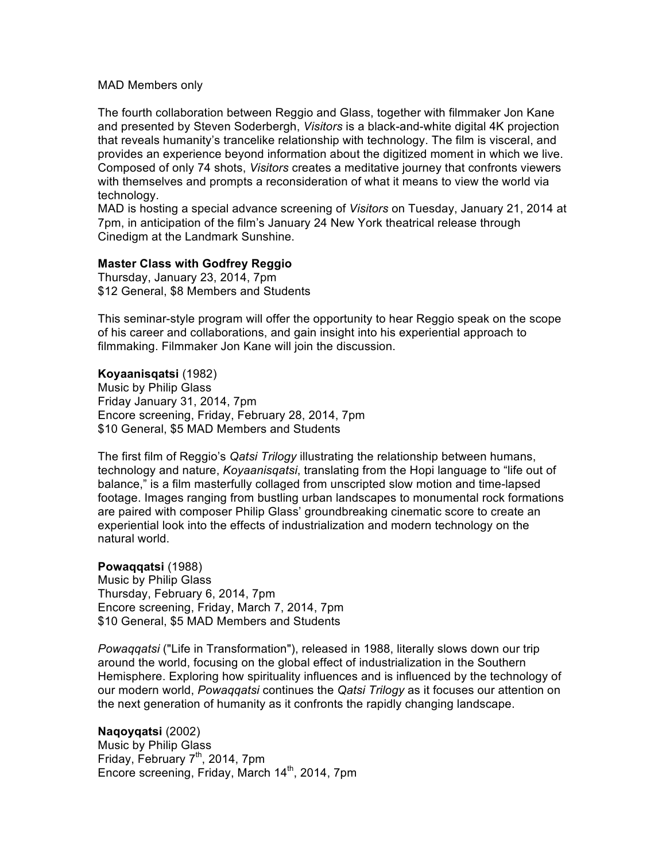#### MAD Members only

The fourth collaboration between Reggio and Glass, together with filmmaker Jon Kane and presented by Steven Soderbergh, *Visitors* is a black-and-white digital 4K projection that reveals humanity's trancelike relationship with technology. The film is visceral, and provides an experience beyond information about the digitized moment in which we live. Composed of only 74 shots, *Visitors* creates a meditative journey that confronts viewers with themselves and prompts a reconsideration of what it means to view the world via technology.

MAD is hosting a special advance screening of *Visitors* on Tuesday, January 21, 2014 at 7pm, in anticipation of the film's January 24 New York theatrical release through Cinedigm at the Landmark Sunshine.

## **Master Class with Godfrey Reggio**

Thursday, January 23, 2014, 7pm \$12 General, \$8 Members and Students

This seminar-style program will offer the opportunity to hear Reggio speak on the scope of his career and collaborations, and gain insight into his experiential approach to filmmaking. Filmmaker Jon Kane will join the discussion.

**Koyaanisqatsi** (1982) Music by Philip Glass Friday January 31, 2014, 7pm Encore screening, Friday, February 28, 2014, 7pm \$10 General, \$5 MAD Members and Students

The first film of Reggio's *Qatsi Trilogy* illustrating the relationship between humans, technology and nature, *Koyaanisqatsi*, translating from the Hopi language to "life out of balance," is a film masterfully collaged from unscripted slow motion and time-lapsed footage. Images ranging from bustling urban landscapes to monumental rock formations are paired with composer Philip Glass' groundbreaking cinematic score to create an experiential look into the effects of industrialization and modern technology on the natural world.

**Powaqqatsi** (1988) Music by Philip Glass Thursday, February 6, 2014, 7pm Encore screening, Friday, March 7, 2014, 7pm \$10 General, \$5 MAD Members and Students

*Powaqqatsi* ("Life in Transformation"), released in 1988, literally slows down our trip around the world, focusing on the global effect of industrialization in the Southern Hemisphere. Exploring how spirituality influences and is influenced by the technology of our modern world, *Powaqqatsi* continues the *Qatsi Trilogy* as it focuses our attention on the next generation of humanity as it confronts the rapidly changing landscape.

**Naqoyqatsi** (2002) Music by Philip Glass Friday, February  $7<sup>th</sup>$ , 2014, 7pm Encore screening, Friday, March 14<sup>th</sup>, 2014, 7pm